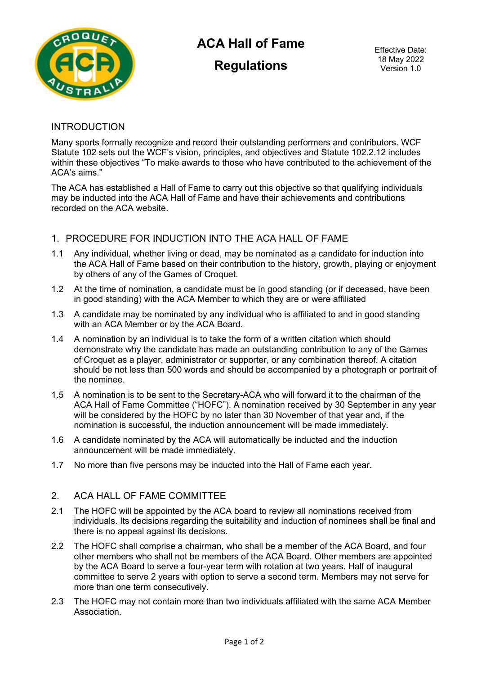

# **ACA Hall of Fame**

**Regulations**

Effective Date: 18 May 2022 Version 1.0

#### INTRODUCTION

Many sports formally recognize and record their outstanding performers and contributors. WCF Statute 102 sets out the WCF's vision, principles, and objectives and Statute 102.2.12 includes within these objectives "To make awards to those who have contributed to the achievement of the ACA's aims."

The ACA has established a Hall of Fame to carry out this objective so that qualifying individuals may be inducted into the ACA Hall of Fame and have their achievements and contributions recorded on the ACA website.

# 1. PROCEDURE FOR INDUCTION INTO THE ACA HALL OF FAME

- 1.1 Any individual, whether living or dead, may be nominated as a candidate for induction into the ACA Hall of Fame based on their contribution to the history, growth, playing or enjoyment by others of any of the Games of Croquet.
- 1.2 At the time of nomination, a candidate must be in good standing (or if deceased, have been in good standing) with the ACA Member to which they are or were affiliated
- 1.3 A candidate may be nominated by any individual who is affiliated to and in good standing with an ACA Member or by the ACA Board.
- 1.4 A nomination by an individual is to take the form of a written citation which should demonstrate why the candidate has made an outstanding contribution to any of the Games of Croquet as a player, administrator or supporter, or any combination thereof. A citation should be not less than 500 words and should be accompanied by a photograph or portrait of the nominee.
- 1.5 A nomination is to be sent to the Secretary-ACA who will forward it to the chairman of the ACA Hall of Fame Committee ("HOFC"). A nomination received by 30 September in any year will be considered by the HOFC by no later than 30 November of that year and, if the nomination is successful, the induction announcement will be made immediately.
- 1.6 A candidate nominated by the ACA will automatically be inducted and the induction announcement will be made immediately.
- 1.7 No more than five persons may be inducted into the Hall of Fame each year.

# 2. ACA HALL OF FAME COMMITTEE

- 2.1 The HOFC will be appointed by the ACA board to review all nominations received from individuals. Its decisions regarding the suitability and induction of nominees shall be final and there is no appeal against its decisions.
- 2.2 The HOFC shall comprise a chairman, who shall be a member of the ACA Board, and four other members who shall not be members of the ACA Board. Other members are appointed by the ACA Board to serve a four-year term with rotation at two years. Half of inaugural committee to serve 2 years with option to serve a second term. Members may not serve for more than one term consecutively.
- 2.3 The HOFC may not contain more than two individuals affiliated with the same ACA Member Association.